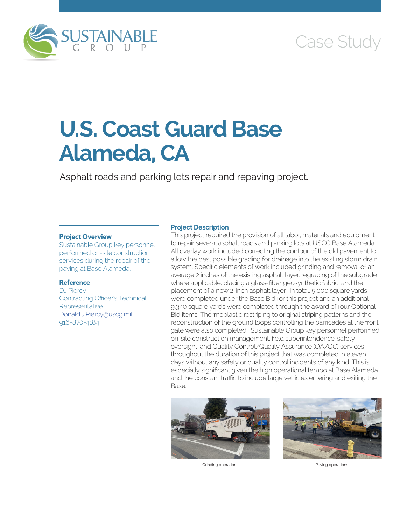

## Case Study

# **U.S. Coast Guard Base Alameda, CA**

Asphalt roads and parking lots repair and repaving project.

#### **Project Overview**

Sustainable Group key personnel performed on-site construction services during the repair of the paving at Base Alameda.

#### **Reference**

DJ Piercy Contracting Officer's Technical **Representative** [Donald.J.Piercy@uscg.mil](mailto:Donald.J.Piercy@uscg.mil) 916-870-4184

#### **Project Description**

This project required the provision of all labor, materials and equipment to repair several asphalt roads and parking lots at USCG Base Alameda. All overlay work included correcting the contour of the old pavement to allow the best possible grading for drainage into the existing storm drain system. Specific elements of work included grinding and removal of an average 2 inches of the existing asphalt layer, regrading of the subgrade where applicable, placing a glass-fiber geosynthetic fabric, and the placement of a new 2-inch asphalt layer. In total, 5,000 square yards were completed under the Base Bid for this project and an additional 9,340 square yards were completed through the award of four Optional Bid items. Thermoplastic restriping to original striping patterns and the reconstruction of the ground loops controlling the barricades at the front gate were also completed. Sustainable Group key personnel performed on-site construction management, field superintendence, safety oversight, and Quality Control/Quality Assurance (QA/QC) services throughout the duration of this project that was completed in eleven days without any safety or quality control incidents of any kind. This is especially significant given the high operational tempo at Base Alameda and the constant traffic to include large vehicles entering and exiting the Base.



Grinding operations **Paving operations**